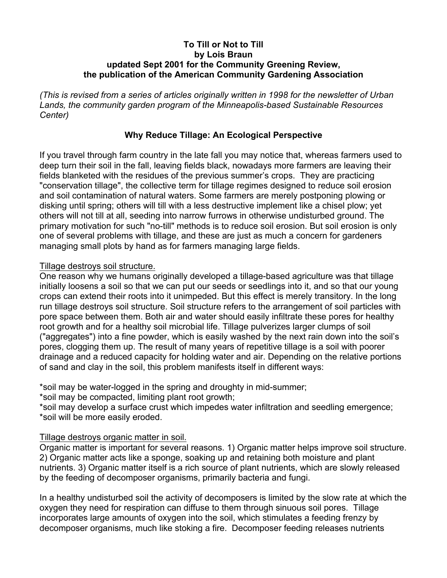## **To Till or Not to Till by Lois Braun updated Sept 2001 for the Community Greening Review, the publication of the American Community Gardening Association**

*(This is revised from a series of articles originally written in 1998 for the newsletter of Urban Lands, the community garden program of the Minneapolis-based Sustainable Resources Center)*

# **Why Reduce Tillage: An Ecological Perspective**

If you travel through farm country in the late fall you may notice that, whereas farmers used to deep turn their soil in the fall, leaving fields black, nowadays more farmers are leaving their fields blanketed with the residues of the previous summer's crops. They are practicing "conservation tillage", the collective term for tillage regimes designed to reduce soil erosion and soil contamination of natural waters. Some farmers are merely postponing plowing or disking until spring; others will till with a less destructive implement like a chisel plow; yet others will not till at all, seeding into narrow furrows in otherwise undisturbed ground. The primary motivation for such "no-till" methods is to reduce soil erosion. But soil erosion is only one of several problems with tillage, and these are just as much a concern for gardeners managing small plots by hand as for farmers managing large fields.

### Tillage destroys soil structure.

One reason why we humans originally developed a tillage-based agriculture was that tillage initially loosens a soil so that we can put our seeds or seedlings into it, and so that our young crops can extend their roots into it unimpeded. But this effect is merely transitory. In the long run tillage destroys soil structure. Soil structure refers to the arrangement of soil particles with pore space between them. Both air and water should easily infiltrate these pores for healthy root growth and for a healthy soil microbial life. Tillage pulverizes larger clumps of soil ("aggregates") into a fine powder, which is easily washed by the next rain down into the soil's pores, clogging them up. The result of many years of repetitive tillage is a soil with poorer drainage and a reduced capacity for holding water and air. Depending on the relative portions of sand and clay in the soil, this problem manifests itself in different ways:

\*soil may be water-logged in the spring and droughty in mid-summer;

\*soil may be compacted, limiting plant root growth;

\*soil may develop a surface crust which impedes water infiltration and seedling emergence; \*soil will be more easily eroded.

## Tillage destroys organic matter in soil.

Organic matter is important for several reasons. 1) Organic matter helps improve soil structure. 2) Organic matter acts like a sponge, soaking up and retaining both moisture and plant nutrients. 3) Organic matter itself is a rich source of plant nutrients, which are slowly released by the feeding of decomposer organisms, primarily bacteria and fungi.

In a healthy undisturbed soil the activity of decomposers is limited by the slow rate at which the oxygen they need for respiration can diffuse to them through sinuous soil pores. Tillage incorporates large amounts of oxygen into the soil, which stimulates a feeding frenzy by decomposer organisms, much like stoking a fire. Decomposer feeding releases nutrients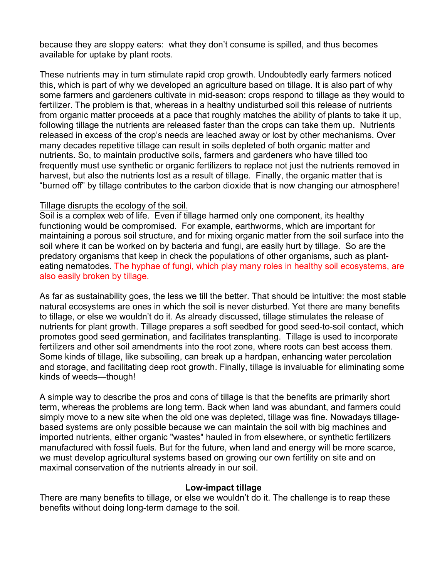because they are sloppy eaters: what they don't consume is spilled, and thus becomes available for uptake by plant roots.

These nutrients may in turn stimulate rapid crop growth. Undoubtedly early farmers noticed this, which is part of why we developed an agriculture based on tillage. It is also part of why some farmers and gardeners cultivate in mid-season: crops respond to tillage as they would to fertilizer. The problem is that, whereas in a healthy undisturbed soil this release of nutrients from organic matter proceeds at a pace that roughly matches the ability of plants to take it up, following tillage the nutrients are released faster than the crops can take them up. Nutrients released in excess of the crop's needs are leached away or lost by other mechanisms. Over many decades repetitive tillage can result in soils depleted of both organic matter and nutrients. So, to maintain productive soils, farmers and gardeners who have tilled too frequently must use synthetic or organic fertilizers to replace not just the nutrients removed in harvest, but also the nutrients lost as a result of tillage. Finally, the organic matter that is "burned off" by tillage contributes to the carbon dioxide that is now changing our atmosphere!

### Tillage disrupts the ecology of the soil.

Soil is a complex web of life. Even if tillage harmed only one component, its healthy functioning would be compromised. For example, earthworms, which are important for maintaining a porous soil structure, and for mixing organic matter from the soil surface into the soil where it can be worked on by bacteria and fungi, are easily hurt by tillage. So are the predatory organisms that keep in check the populations of other organisms, such as planteating nematodes. The hyphae of fungi, which play many roles in healthy soil ecosystems, are also easily broken by tillage.

As far as sustainability goes, the less we till the better. That should be intuitive: the most stable natural ecosystems are ones in which the soil is never disturbed. Yet there are many benefits to tillage, or else we wouldn't do it. As already discussed, tillage stimulates the release of nutrients for plant growth. Tillage prepares a soft seedbed for good seed-to-soil contact, which promotes good seed germination, and facilitates transplanting. Tillage is used to incorporate fertilizers and other soil amendments into the root zone, where roots can best access them. Some kinds of tillage, like subsoiling, can break up a hardpan, enhancing water percolation and storage, and facilitating deep root growth. Finally, tillage is invaluable for eliminating some kinds of weeds—though!

A simple way to describe the pros and cons of tillage is that the benefits are primarily short term, whereas the problems are long term. Back when land was abundant, and farmers could simply move to a new site when the old one was depleted, tillage was fine. Nowadays tillagebased systems are only possible because we can maintain the soil with big machines and imported nutrients, either organic "wastes" hauled in from elsewhere, or synthetic fertilizers manufactured with fossil fuels. But for the future, when land and energy will be more scarce, we must develop agricultural systems based on growing our own fertility on site and on maximal conservation of the nutrients already in our soil.

#### **Low-impact tillage**

There are many benefits to tillage, or else we wouldn't do it. The challenge is to reap these benefits without doing long-term damage to the soil.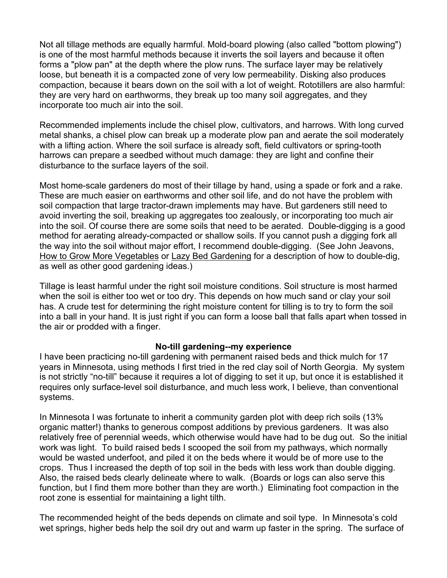Not all tillage methods are equally harmful. Mold-board plowing (also called "bottom plowing") is one of the most harmful methods because it inverts the soil layers and because it often forms a "plow pan" at the depth where the plow runs. The surface layer may be relatively loose, but beneath it is a compacted zone of very low permeability. Disking also produces compaction, because it bears down on the soil with a lot of weight. Rototillers are also harmful: they are very hard on earthworms, they break up too many soil aggregates, and they incorporate too much air into the soil.

Recommended implements include the chisel plow, cultivators, and harrows. With long curved metal shanks, a chisel plow can break up a moderate plow pan and aerate the soil moderately with a lifting action. Where the soil surface is already soft, field cultivators or spring-tooth harrows can prepare a seedbed without much damage: they are light and confine their disturbance to the surface layers of the soil.

Most home-scale gardeners do most of their tillage by hand, using a spade or fork and a rake. These are much easier on earthworms and other soil life, and do not have the problem with soil compaction that large tractor-drawn implements may have. But gardeners still need to avoid inverting the soil, breaking up aggregates too zealously, or incorporating too much air into the soil. Of course there are some soils that need to be aerated. Double-digging is a good method for aerating already-compacted or shallow soils. If you cannot push a digging fork all the way into the soil without major effort, I recommend double-digging. (See John Jeavons, How to Grow More Vegetables or Lazy Bed Gardening for a description of how to double-dig, as well as other good gardening ideas.)

Tillage is least harmful under the right soil moisture conditions. Soil structure is most harmed when the soil is either too wet or too dry. This depends on how much sand or clay your soil has. A crude test for determining the right moisture content for tilling is to try to form the soil into a ball in your hand. It is just right if you can form a loose ball that falls apart when tossed in the air or prodded with a finger.

## **No-till gardening--my experience**

I have been practicing no-till gardening with permanent raised beds and thick mulch for 17 years in Minnesota, using methods I first tried in the red clay soil of North Georgia. My system is not strictly "no-till" because it requires a lot of digging to set it up, but once it is established it requires only surface-level soil disturbance, and much less work, I believe, than conventional systems.

In Minnesota I was fortunate to inherit a community garden plot with deep rich soils (13% organic matter!) thanks to generous compost additions by previous gardeners. It was also relatively free of perennial weeds, which otherwise would have had to be dug out. So the initial work was light. To build raised beds I scooped the soil from my pathways, which normally would be wasted underfoot, and piled it on the beds where it would be of more use to the crops. Thus I increased the depth of top soil in the beds with less work than double digging. Also, the raised beds clearly delineate where to walk. (Boards or logs can also serve this function, but I find them more bother than they are worth.)Eliminating foot compaction in the root zone is essential for maintaining a light tilth.

The recommended height of the beds depends on climate and soil type. In Minnesota's cold wet springs, higher beds help the soil dry out and warm up faster in the spring. The surface of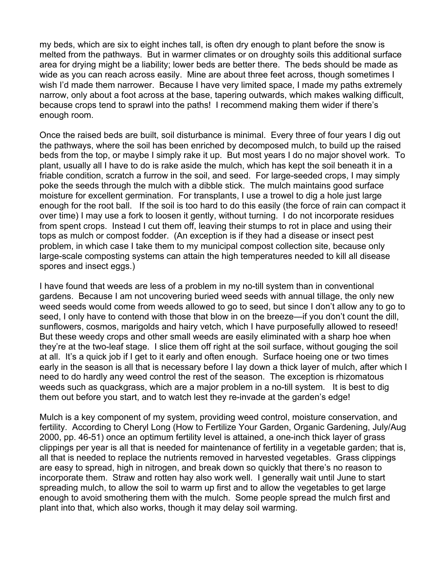my beds, which are six to eight inches tall, is often dry enough to plant before the snow is melted from the pathways. But in warmer climates or on droughty soils this additional surface area for drying might be a liability; lower beds are better there. The beds should be made as wide as you can reach across easily. Mine are about three feet across, though sometimes I wish I'd made them narrower. Because I have very limited space, I made my paths extremely narrow, only about a foot across at the base, tapering outwards, which makes walking difficult, because crops tend to sprawl into the paths! I recommend making them wider if there's enough room.

Once the raised beds are built, soil disturbance is minimal. Every three of four years I dig out the pathways, where the soil has been enriched by decomposed mulch, to build up the raised beds from the top, or maybe I simply rake it up. But most years I do no major shovel work. To plant, usually all I have to do is rake aside the mulch, which has kept the soil beneath it in a friable condition, scratch a furrow in the soil, and seed. For large-seeded crops, I may simply poke the seeds through the mulch with a dibble stick. The mulch maintains good surface moisture for excellent germination. For transplants, I use a trowel to dig a hole just large enough for the root ball. If the soil is too hard to do this easily (the force of rain can compact it over time) I may use a fork to loosen it gently, without turning. I do not incorporate residues from spent crops. Instead I cut them off, leaving their stumps to rot in place and using their tops as mulch or compost fodder. (An exception is if they had a disease or insect pest problem, in which case I take them to my municipal compost collection site, because only large-scale composting systems can attain the high temperatures needed to kill all disease spores and insect eggs.)

I have found that weeds are less of a problem in my no-till system than in conventional gardens. Because I am not uncovering buried weed seeds with annual tillage, the only new weed seeds would come from weeds allowed to go to seed, but since I don't allow any to go to seed, I only have to contend with those that blow in on the breeze—if you don't count the dill, sunflowers, cosmos, marigolds and hairy vetch, which I have purposefully allowed to reseed! But these weedy crops and other small weeds are easily eliminated with a sharp hoe when they're at the two-leaf stage. I slice them off right at the soil surface, without gouging the soil at all. It's a quick job if I get to it early and often enough. Surface hoeing one or two times early in the season is all that is necessary before I lay down a thick layer of mulch, after which I need to do hardly any weed control the rest of the season. The exception is rhizomatous weeds such as quackgrass, which are a major problem in a no-till system*.* It is best to dig them out before you start, and to watch lest they re-invade at the garden's edge!

Mulch is a key component of my system, providing weed control, moisture conservation, and fertility. According to Cheryl Long (How to Fertilize Your Garden, Organic Gardening, July/Aug 2000, pp. 46-51) once an optimum fertility level is attained, a one-inch thick layer of grass clippings per year is all that is needed for maintenance of fertility in a vegetable garden; that is, all that is needed to replace the nutrients removed in harvested vegetables. Grass clippings are easy to spread, high in nitrogen, and break down so quickly that there's no reason to incorporate them. Straw and rotten hay also work well. I generally wait until June to start spreading mulch, to allow the soil to warm up first and to allow the vegetables to get large enough to avoid smothering them with the mulch. Some people spread the mulch first and plant into that, which also works, though it may delay soil warming.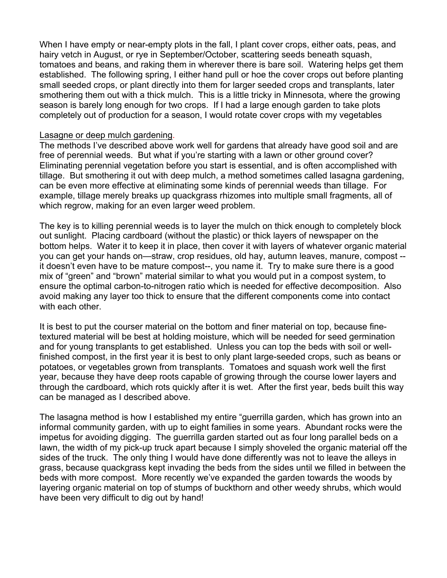When I have empty or near-empty plots in the fall, I plant cover crops, either oats, peas, and hairy vetch in August, or rye in September/October, scattering seeds beneath squash, tomatoes and beans, and raking them in wherever there is bare soil. Watering helps get them established. The following spring, I either hand pull or hoe the cover crops out before planting small seeded crops, or plant directly into them for larger seeded crops and transplants, later smothering them out with a thick mulch. This is a little tricky in Minnesota, where the growing season is barely long enough for two crops. If I had a large enough garden to take plots completely out of production for a season, I would rotate cover crops with my vegetables

#### Lasagne or deep mulch gardening.

The methods I've described above work well for gardens that already have good soil and are free of perennial weeds. But what if you're starting with a lawn or other ground cover? Eliminating perennial vegetation before you start is essential, and is often accomplished with tillage. But smothering it out with deep mulch, a method sometimes called lasagna gardening, can be even more effective at eliminating some kinds of perennial weeds than tillage. For example, tillage merely breaks up quackgrass rhizomes into multiple small fragments, all of which regrow, making for an even larger weed problem.

The key is to killing perennial weeds is to layer the mulch on thick enough to completely block out sunlight. Placing cardboard (without the plastic) or thick layers of newspaper on the bottom helps. Water it to keep it in place, then cover it with layers of whatever organic material you can get your hands on—straw, crop residues, old hay, autumn leaves, manure, compost - it doesn't even have to be mature compost--, you name it. Try to make sure there is a good mix of "green" and "brown" material similar to what you would put in a compost system, to ensure the optimal carbon-to-nitrogen ratio which is needed for effective decomposition. Also avoid making any layer too thick to ensure that the different components come into contact with each other.

It is best to put the courser material on the bottom and finer material on top, because finetextured material will be best at holding moisture, which will be needed for seed germination and for young transplants to get established. Unless you can top the beds with soil or wellfinished compost, in the first year it is best to only plant large-seeded crops, such as beans or potatoes, or vegetables grown from transplants. Tomatoes and squash work well the first year, because they have deep roots capable of growing through the course lower layers and through the cardboard, which rots quickly after it is wet. After the first year, beds built this way can be managed as I described above.

The lasagna method is how I established my entire "guerrilla garden, which has grown into an informal community garden, with up to eight families in some years. Abundant rocks were the impetus for avoiding digging. The guerrilla garden started out as four long parallel beds on a lawn, the width of my pick-up truck apart because I simply shoveled the organic material off the sides of the truck. The only thing I would have done differently was not to leave the alleys in grass, because quackgrass kept invading the beds from the sides until we filled in between the beds with more compost. More recently we've expanded the garden towards the woods by layering organic material on top of stumps of buckthorn and other weedy shrubs, which would have been very difficult to dig out by hand!